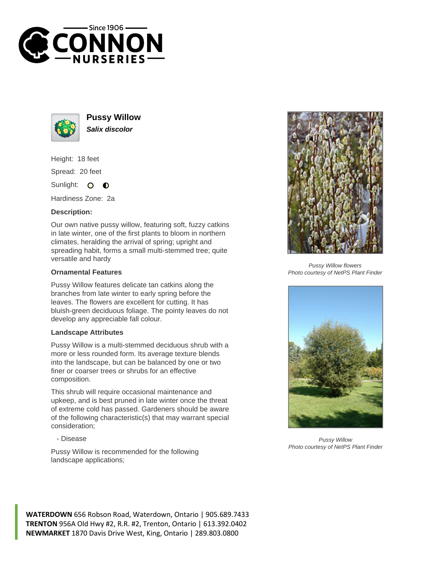



**Pussy Willow Salix discolor**

Height: 18 feet Spread: 20 feet

Sunlight: O  $\bullet$ 

Hardiness Zone: 2a

## **Description:**

Our own native pussy willow, featuring soft, fuzzy catkins in late winter, one of the first plants to bloom in northern climates, heralding the arrival of spring; upright and spreading habit, forms a small multi-stemmed tree; quite versatile and hardy

## **Ornamental Features**

Pussy Willow features delicate tan catkins along the branches from late winter to early spring before the leaves. The flowers are excellent for cutting. It has bluish-green deciduous foliage. The pointy leaves do not develop any appreciable fall colour.

## **Landscape Attributes**

Pussy Willow is a multi-stemmed deciduous shrub with a more or less rounded form. Its average texture blends into the landscape, but can be balanced by one or two finer or coarser trees or shrubs for an effective composition.

This shrub will require occasional maintenance and upkeep, and is best pruned in late winter once the threat of extreme cold has passed. Gardeners should be aware of the following characteristic(s) that may warrant special consideration;

- Disease

Pussy Willow is recommended for the following landscape applications;



Pussy Willow flowers Photo courtesy of NetPS Plant Finder



Pussy Willow Photo courtesy of NetPS Plant Finder

**WATERDOWN** 656 Robson Road, Waterdown, Ontario | 905.689.7433 **TRENTON** 956A Old Hwy #2, R.R. #2, Trenton, Ontario | 613.392.0402 **NEWMARKET** 1870 Davis Drive West, King, Ontario | 289.803.0800